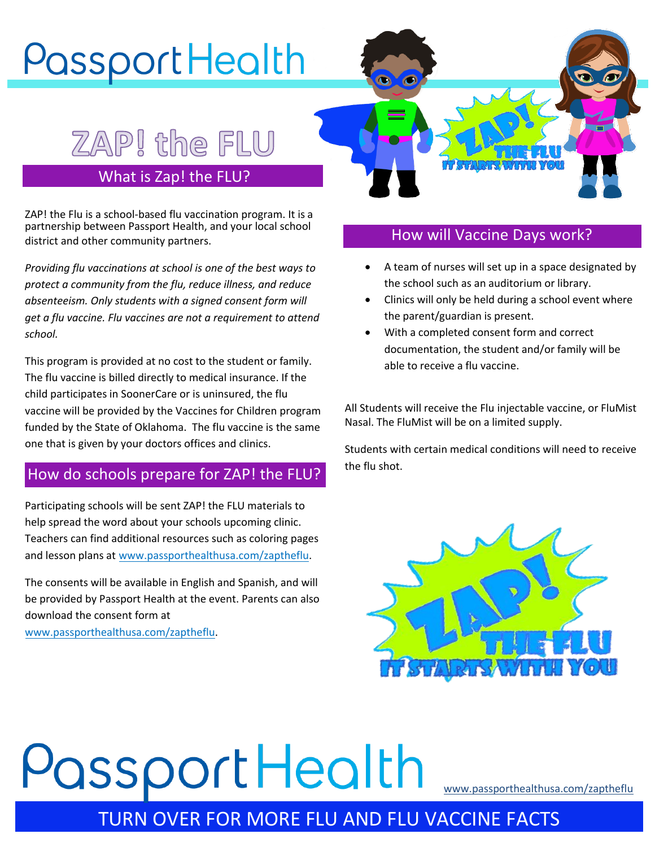# PassportHealth

## ZAP! the FLU

#### What is Zap! the FLU?

ZAP! the Flu is a school-based flu vaccination program. It is a partnership between Passport Health, and your local school district and other community partners.

*Providing flu vaccinations at school is one of the best ways to protect a community from the flu, reduce illness, and reduce absenteeism. Only students with a signed consent form will get a flu vaccine. Flu vaccines are not a requirement to attend school.* 

This program is provided at no cost to the student or family. The flu vaccine is billed directly to medical insurance. If the child participates in SoonerCare or is uninsured, the flu vaccine will be provided by the Vaccines for Children program funded by the State of Oklahoma. The flu vaccine is the same one that is given by your doctors offices and clinics.

#### How do schools prepare for ZAP! the FLU?

Participating schools will be sent ZAP! the FLU materials to help spread the word about your schools upcoming clinic. Teachers can find additional resources such as coloring pages and lesson plans at www.passporthealthusa.com/zaptheflu.

The consents will be available in English and Spanish, and will be provided by Passport Health at the event. Parents can also download the consent form at

www.passporthealthusa.com/zaptheflu.



#### How will Vaccine Days work?

- A team of nurses will set up in a space designated by the school such as an auditorium or library.
- Clinics will only be held during a school event where the parent/guardian is present.
- With a completed consent form and correct documentation, the student and/or family will be able to receive a flu vaccine.

All Students will receive the Flu injectable vaccine, or FluMist Nasal. The FluMist will be on a limited supply.

Students with certain medical conditions will need to receive the flu shot.



# PassportHealth

www.passporthealthusa.com/zaptheflu

### TURN OVER FOR MORE FLU AND FLU VACCINE FACTS